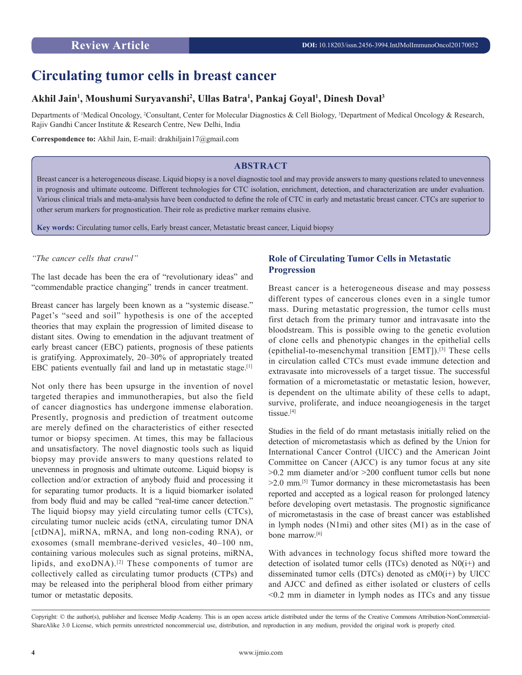# **Circulating tumor cells in breast cancer**

# **Akhil Jain1 , Moushumi Suryavanshi2 , Ullas Batra1 , Pankaj Goyal1 , Dinesh Doval3**

Departments of <sup>1</sup>Medical Oncology, <sup>2</sup>Consultant, Center for Molecular Diagnostics & Cell Biology, <sup>3</sup>Department of Medical Oncology & Research, Rajiv Gandhi Cancer Institute & Research Centre, New Delhi, India

**Correspondence to:** Akhil Jain, E-mail: drakhiljain17@gmail.com

## **ABSTRACT**

Breast cancer is a heterogeneous disease. Liquid biopsy is a novel diagnostic tool and may provide answers to many questions related to unevenness in prognosis and ultimate outcome. Different technologies for CTC isolation, enrichment, detection, and characterization are under evaluation. Various clinical trials and meta-analysis have been conducted to define the role of CTC in early and metastatic breast cancer. CTCs are superior to other serum markers for prognostication. Their role as predictive marker remains elusive.

**Key words:** Circulating tumor cells, Early breast cancer, Metastatic breast cancer, Liquid biopsy

### *"The cancer cells that crawl"*

The last decade has been the era of "revolutionary ideas" and "commendable practice changing" trends in cancer treatment.

Breast cancer has largely been known as a "systemic disease." Paget's "seed and soil" hypothesis is one of the accepted theories that may explain the progression of limited disease to distant sites. Owing to emendation in the adjuvant treatment of early breast cancer (EBC) patients, prognosis of these patients is gratifying. Approximately, 20–30% of appropriately treated EBC patients eventually fail and land up in metastatic stage.<sup>[1]</sup>

Not only there has been upsurge in the invention of novel targeted therapies and immunotherapies, but also the field of cancer diagnostics has undergone immense elaboration. Presently, prognosis and prediction of treatment outcome are merely defined on the characteristics of either resected tumor or biopsy specimen. At times, this may be fallacious and unsatisfactory. The novel diagnostic tools such as liquid biopsy may provide answers to many questions related to unevenness in prognosis and ultimate outcome. Liquid biopsy is collection and/or extraction of anybody fluid and processing it for separating tumor products. It is a liquid biomarker isolated from body fluid and may be called "real-time cancer detection." The liquid biopsy may yield circulating tumor cells (CTCs), circulating tumor nucleic acids (ctNA, circulating tumor DNA [ctDNA], miRNA, mRNA, and long non-coding RNA), or exosomes (small membrane-derived vesicles, 40–100 nm, containing various molecules such as signal proteins, miRNA, lipids, and exoDNA).<sup>[2]</sup> These components of tumor are collectively called as circulating tumor products (CTPs) and may be released into the peripheral blood from either primary tumor or metastatic deposits.

## **Role of Circulating Tumor Cells in Metastatic Progression**

Breast cancer is a heterogeneous disease and may possess different types of cancerous clones even in a single tumor mass. During metastatic progression, the tumor cells must first detach from the primary tumor and intravasate into the bloodstream. This is possible owing to the genetic evolution of clone cells and phenotypic changes in the epithelial cells (epithelial-to-mesenchymal transition [EMT]).[3] These cells in circulation called CTCs must evade immune detection and extravasate into microvessels of a target tissue. The successful formation of a micrometastatic or metastatic lesion, however, is dependent on the ultimate ability of these cells to adapt, survive, proliferate, and induce neoangiogenesis in the target tissue.<sup>[4]</sup>

Studies in the field of do rmant metastasis initially relied on the detection of micrometastasis which as defined by the Union for International Cancer Control (UICC) and the American Joint Committee on Cancer (AJCC) is any tumor focus at any site >0.2 mm diameter and/or >200 confluent tumor cells but none  $>2.0$  mm.<sup>[5]</sup> Tumor dormancy in these micrometastasis has been reported and accepted as a logical reason for prolonged latency before developing overt metastasis. The prognostic significance of micrometastasis in the case of breast cancer was established in lymph nodes (N1mi) and other sites (M1) as in the case of bone marrow.<sup>[6]</sup>

With advances in technology focus shifted more toward the detection of isolated tumor cells (ITCs) denoted as  $N0(i+)$  and disseminated tumor cells (DTCs) denoted as cM0(i+) by UICC and AJCC and defined as either isolated or clusters of cells <0.2 mm in diameter in lymph nodes as ITCs and any tissue

Copyright: © the author(s), publisher and licensee Medip Academy. This is an open access article distributed under the terms of the Creative Commons Attribution-NonCommercial-ShareAlike 3.0 License, which permits unrestricted noncommercial use, distribution, and reproduction in any medium, provided the original work is properly cited.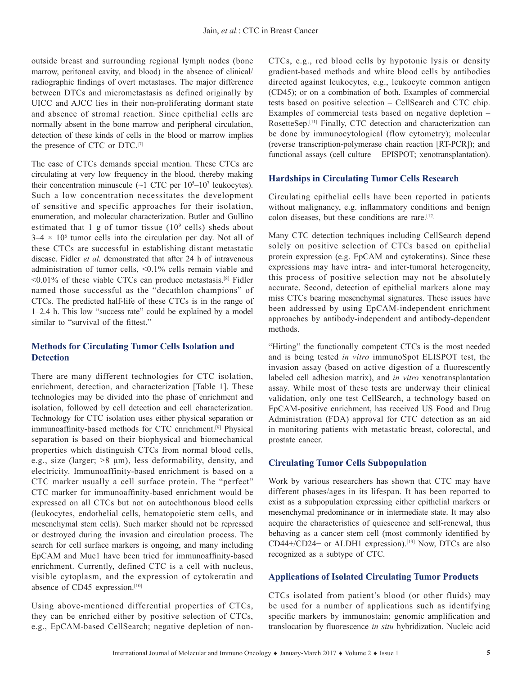outside breast and surrounding regional lymph nodes (bone marrow, peritoneal cavity, and blood) in the absence of clinical/ radiographic findings of overt metastases. The major difference between DTCs and micrometastasis as defined originally by UICC and AJCC lies in their non-proliferating dormant state and absence of stromal reaction. Since epithelial cells are normally absent in the bone marrow and peripheral circulation, detection of these kinds of cells in the blood or marrow implies the presence of CTC or DTC.[7]

The case of CTCs demands special mention. These CTCs are circulating at very low frequency in the blood, thereby making their concentration minuscule  $(\sim 1 \text{ CTC per } 10^{5} - 10^{7} \text{ leukocytes}).$ Such a low concentration necessitates the development of sensitive and specific approaches for their isolation, enumeration, and molecular characterization. Butler and Gullino estimated that 1 g of tumor tissue  $(10^9 \text{ cells})$  sheds about  $3-4 \times 10^6$  tumor cells into the circulation per day. Not all of these CTCs are successful in establishing distant metastatic disease. Fidler *et al.* demonstrated that after 24 h of intravenous administration of tumor cells, <0.1% cells remain viable and  $\leq 0.01\%$  of these viable CTCs can produce metastasis.<sup>[8]</sup> Fidler named those successful as the "decathlon champions" of CTCs. The predicted half-life of these CTCs is in the range of 1–2.4 h. This low "success rate" could be explained by a model similar to "survival of the fittest."

## **Methods for Circulating Tumor Cells Isolation and Detection**

There are many different technologies for CTC isolation, enrichment, detection, and characterization [Table 1]. These technologies may be divided into the phase of enrichment and isolation, followed by cell detection and cell characterization. Technology for CTC isolation uses either physical separation or immunoaffinity-based methods for CTC enrichment.[9] Physical separation is based on their biophysical and biomechanical properties which distinguish CTCs from normal blood cells, e.g., size (larger; >8 μm), less deformability, density, and electricity. Immunoaffinity-based enrichment is based on a CTC marker usually a cell surface protein. The "perfect" CTC marker for immunoaffinity-based enrichment would be expressed on all CTCs but not on autochthonous blood cells (leukocytes, endothelial cells, hematopoietic stem cells, and mesenchymal stem cells). Such marker should not be repressed or destroyed during the invasion and circulation process. The search for cell surface markers is ongoing, and many including EpCAM and Muc1 have been tried for immunoaffinity-based enrichment. Currently, defined CTC is a cell with nucleus, visible cytoplasm, and the expression of cytokeratin and absence of CD45 expression.<sup>[10]</sup>

Using above-mentioned differential properties of CTCs, they can be enriched either by positive selection of CTCs, e.g., EpCAM-based CellSearch; negative depletion of nonCTCs, e.g., red blood cells by hypotonic lysis or density gradient-based methods and white blood cells by antibodies directed against leukocytes, e.g., leukocyte common antigen (CD45); or on a combination of both. Examples of commercial tests based on positive selection – CellSearch and CTC chip. Examples of commercial tests based on negative depletion – RosetteSep.[11] Finally, CTC detection and characterization can be done by immunocytological (flow cytometry); molecular (reverse transcription-polymerase chain reaction [RT-PCR]); and functional assays (cell culture – EPISPOT; xenotransplantation).

## **Hardships in Circulating Tumor Cells Research**

Circulating epithelial cells have been reported in patients without malignancy, e.g. inflammatory conditions and benign colon diseases, but these conditions are rare.[12]

Many CTC detection techniques including CellSearch depend solely on positive selection of CTCs based on epithelial protein expression (e.g. EpCAM and cytokeratins). Since these expressions may have intra- and inter-tumoral heterogeneity, this process of positive selection may not be absolutely accurate. Second, detection of epithelial markers alone may miss CTCs bearing mesenchymal signatures. These issues have been addressed by using EpCAM-independent enrichment approaches by antibody-independent and antibody-dependent methods.

"Hitting" the functionally competent CTCs is the most needed and is being tested *in vitro* immunoSpot ELISPOT test, the invasion assay (based on active digestion of a fluorescently labeled cell adhesion matrix), and *in vitro* xenotransplantation assay. While most of these tests are underway their clinical validation, only one test CellSearch, a technology based on EpCAM-positive enrichment, has received US Food and Drug Administration (FDA) approval for CTC detection as an aid in monitoring patients with metastatic breast, colorectal, and prostate cancer.

### **Circulating Tumor Cells Subpopulation**

Work by various researchers has shown that CTC may have different phases/ages in its lifespan. It has been reported to exist as a subpopulation expressing either epithelial markers or mesenchymal predominance or in intermediate state. It may also acquire the characteristics of quiescence and self-renewal, thus behaving as a cancer stem cell (most commonly identified by CD44+/CD24− or ALDH1 expression).[13] Now, DTCs are also recognized as a subtype of CTC.

### **Applications of Isolated Circulating Tumor Products**

CTCs isolated from patient's blood (or other fluids) may be used for a number of applications such as identifying specific markers by immunostain; genomic amplification and translocation by fluorescence *in situ* hybridization. Nucleic acid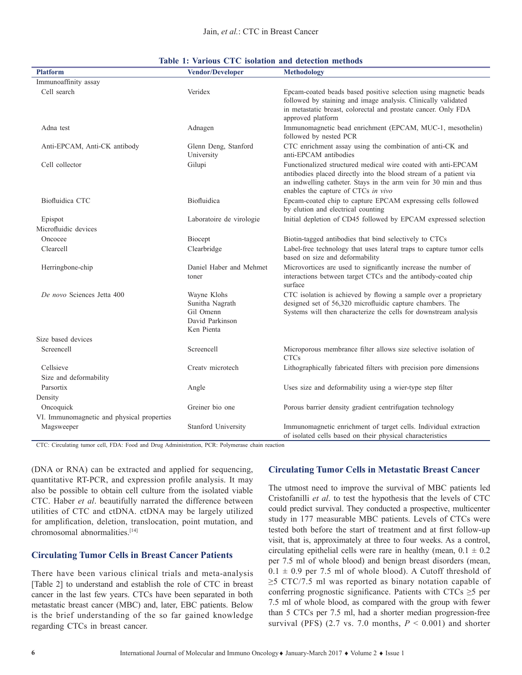#### Jain, *et al.*: CTC in Breast Cancer

| <b>Platform</b>                            | <b>Vendor/Developer</b>                                                      | <b>Methodology</b>                                                                                                                                                                                                                             |
|--------------------------------------------|------------------------------------------------------------------------------|------------------------------------------------------------------------------------------------------------------------------------------------------------------------------------------------------------------------------------------------|
| Immunoaffinity assay                       |                                                                              |                                                                                                                                                                                                                                                |
| Cell search                                | Veridex                                                                      | Epcam-coated beads based positive selection using magnetic beads<br>followed by staining and image analysis. Clinically validated<br>in metastatic breast, colorectal and prostate cancer. Only FDA<br>approved platform                       |
| Adna test                                  | Adnagen                                                                      | Immunomagnetic bead enrichment (EPCAM, MUC-1, mesothelin)<br>followed by nested PCR                                                                                                                                                            |
| Anti-EPCAM, Anti-CK antibody               | Glenn Deng, Stanford<br>University                                           | CTC enrichment assay using the combination of anti-CK and<br>anti-EPCAM antibodies                                                                                                                                                             |
| Cell collector                             | Gilupi                                                                       | Functionalized structured medical wire coated with anti-EPCAM<br>antibodies placed directly into the blood stream of a patient via<br>an indwelling catheter. Stays in the arm vein for 30 min and thus<br>enables the capture of CTCs in vivo |
| Biofluidica CTC                            | Biofluidica                                                                  | Epcam-coated chip to capture EPCAM expressing cells followed<br>by elution and electrical counting                                                                                                                                             |
| Epispot                                    | Laboratoire de virologie                                                     | Initial depletion of CD45 followed by EPCAM expressed selection                                                                                                                                                                                |
| Microfluidic devices                       |                                                                              |                                                                                                                                                                                                                                                |
| Oncocee                                    | Biocept                                                                      | Biotin-tagged antibodies that bind selectively to CTCs                                                                                                                                                                                         |
| Clearcell                                  | Clearbridge                                                                  | Label-free technology that uses lateral traps to capture tumor cells<br>based on size and deformability                                                                                                                                        |
| Herringbone-chip                           | Daniel Haber and Mehmet<br>toner                                             | Microvortices are used to significantly increase the number of<br>interactions between target CTCs and the antibody-coated chip<br>surface                                                                                                     |
| De novo Sciences Jetta 400                 | Wayne Klohs<br>Sunitha Nagrath<br>Gil Omenn<br>David Parkinson<br>Ken Pienta | CTC isolation is achieved by flowing a sample over a proprietary<br>designed set of 56,320 microfluidic capture chambers. The<br>Systems will then characterize the cells for downstream analysis                                              |
| Size based devices                         |                                                                              |                                                                                                                                                                                                                                                |
| Screencell                                 | Screencell                                                                   | Microporous membrance filter allows size selective isolation of<br><b>CTCs</b>                                                                                                                                                                 |
| Cellsieve                                  | Creaty microtech                                                             | Lithographically fabricated filters with precision pore dimensions                                                                                                                                                                             |
| Size and deformability                     |                                                                              |                                                                                                                                                                                                                                                |
| Parsortix                                  | Angle                                                                        | Uses size and deformability using a wier-type step filter                                                                                                                                                                                      |
| Density                                    |                                                                              |                                                                                                                                                                                                                                                |
| Oncoquick                                  | Greiner bio one                                                              | Porous barrier density gradient centrifugation technology                                                                                                                                                                                      |
| VI. Immunomagnetic and physical properties |                                                                              |                                                                                                                                                                                                                                                |
| Magsweeper                                 | Stanford University                                                          | Immunomagnetic enrichment of target cells. Individual extraction<br>of isolated cells based on their physical characteristics                                                                                                                  |

| <b>Table 1: Various CTC isolation and detection methods</b> |  |  |  |  |  |
|-------------------------------------------------------------|--|--|--|--|--|
|-------------------------------------------------------------|--|--|--|--|--|

CTC: Circulating tumor cell, FDA: Food and Drug Administration, PCR: Polymerase chain reaction

(DNA or RNA) can be extracted and applied for sequencing, quantitative RT-PCR, and expression profile analysis. It may also be possible to obtain cell culture from the isolated viable CTC. Haber *et al*. beautifully narrated the difference between utilities of CTC and ctDNA. ctDNA may be largely utilized for amplification, deletion, translocation, point mutation, and chromosomal abnormalities.[14]

### **Circulating Tumor Cells in Breast Cancer Patients**

There have been various clinical trials and meta-analysis [Table 2] to understand and establish the role of CTC in breast cancer in the last few years. CTCs have been separated in both metastatic breast cancer (MBC) and, later, EBC patients. Below is the brief understanding of the so far gained knowledge regarding CTCs in breast cancer.

### **Circulating Tumor Cells in Metastatic Breast Cancer**

The utmost need to improve the survival of MBC patients led Cristofanilli *et al*. to test the hypothesis that the levels of CTC could predict survival. They conducted a prospective, multicenter study in 177 measurable MBC patients. Levels of CTCs were tested both before the start of treatment and at first follow-up visit, that is, approximately at three to four weeks. As a control, circulating epithelial cells were rare in healthy (mean,  $0.1 \pm 0.2$ ) per 7.5 ml of whole blood) and benign breast disorders (mean,  $0.1 \pm 0.9$  per 7.5 ml of whole blood). A Cutoff threshold of ≥5 CTC/7.5 ml was reported as binary notation capable of conferring prognostic significance. Patients with CTCs  $\geq$ 5 per 7.5 ml of whole blood, as compared with the group with fewer than 5 CTCs per 7.5 ml, had a shorter median progression-free survival (PFS) (2.7 vs. 7.0 months,  $P < 0.001$ ) and shorter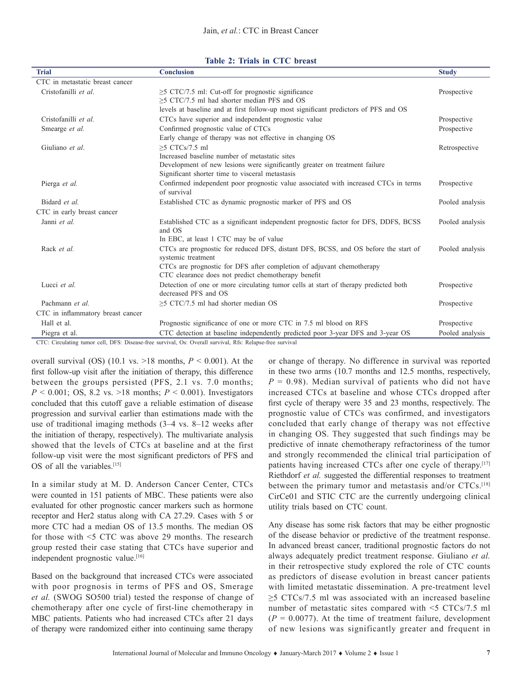|  |  | Table 2: Trials in CTC breast |
|--|--|-------------------------------|
|  |  |                               |

| <b>Trial</b>                      | <b>Conclusion</b>                                                                                           | <b>Study</b>    |
|-----------------------------------|-------------------------------------------------------------------------------------------------------------|-----------------|
| CTC in metastatic breast cancer   |                                                                                                             |                 |
| Cristofanilli et al.              | $\geq$ 5 CTC/7.5 ml: Cut-off for prognostic significance                                                    | Prospective     |
|                                   | >5 CTC/7.5 ml had shorter median PFS and OS                                                                 |                 |
|                                   | levels at baseline and at first follow-up most significant predictors of PFS and OS                         |                 |
| Cristofanilli et al               | CTCs have superior and independent prognostic value                                                         | Prospective     |
| Smearge et al.                    | Confirmed prognostic value of CTCs                                                                          | Prospective     |
|                                   | Early change of therapy was not effective in changing OS                                                    |                 |
| Giuliano et al.                   | $\geq$ 5 CTCs/7.5 ml                                                                                        | Retrospective   |
|                                   | Increased baseline number of metastatic sites                                                               |                 |
|                                   | Development of new lesions were significantly greater on treatment failure                                  |                 |
|                                   | Significant shorter time to visceral metastasis                                                             |                 |
| Pierga et al.                     | Confirmed independent poor prognostic value associated with increased CTCs in terms                         | Prospective     |
|                                   | of survival                                                                                                 |                 |
| Bidard et al.                     | Established CTC as dynamic prognostic marker of PFS and OS                                                  | Pooled analysis |
| CTC in early breast cancer        |                                                                                                             |                 |
| Janni et al.                      | Established CTC as a significant independent prognostic factor for DFS, DDFS, BCSS<br>and OS                | Pooled analysis |
|                                   | In EBC, at least 1 CTC may be of value                                                                      |                 |
| Rack et al.                       | CTCs are prognostic for reduced DFS, distant DFS, BCSS, and OS before the start of                          | Pooled analysis |
|                                   | systemic treatment                                                                                          |                 |
|                                   | CTCs are prognostic for DFS after completion of adjuvant chemotherapy                                       |                 |
|                                   | CTC clearance does not predict chemotherapy benefit                                                         |                 |
| Lucci et al.                      | Detection of one or more circulating tumor cells at start of therapy predicted both<br>decreased PFS and OS | Prospective     |
| Pachmann et al.                   | $\geq$ 5 CTC/7.5 ml had shorter median OS                                                                   | Prospective     |
| CTC in inflammatory breast cancer |                                                                                                             |                 |
| Hall et al.                       | Prognostic significance of one or more CTC in 7.5 ml blood on RFS                                           | Prospective     |
| Piegra et al.                     | CTC detection at baseline independently predicted poor 3-year DFS and 3-year OS                             | Pooled analysis |
| $\mathbf{u}$ ppc $\mathbf{v}$ .   | $\cdots$ $\alpha$ $\cdots$ $\cdots$                                                                         |                 |

CTC: Circulating tumor cell, DFS: Disease-free survival, Os: Overall survival, Rfs: Relapse-free survival

overall survival (OS) (10.1 vs.  $>18$  months,  $P < 0.001$ ). At the first follow-up visit after the initiation of therapy, this difference between the groups persisted (PFS, 2.1 vs. 7.0 months;  $P < 0.001$ ; OS, 8.2 vs. >18 months;  $P < 0.001$ ). Investigators concluded that this cutoff gave a reliable estimation of disease progression and survival earlier than estimations made with the use of traditional imaging methods (3–4 vs. 8–12 weeks after the initiation of therapy, respectively). The multivariate analysis showed that the levels of CTCs at baseline and at the first follow-up visit were the most significant predictors of PFS and OS of all the variables  $[15]$ 

In a similar study at M. D. Anderson Cancer Center, CTCs were counted in 151 patients of MBC. These patients were also evaluated for other prognostic cancer markers such as hormone receptor and Her2 status along with CA 27.29. Cases with 5 or more CTC had a median OS of 13.5 months. The median OS for those with <5 CTC was above 29 months. The research group rested their case stating that CTCs have superior and independent prognostic value.[16]

Based on the background that increased CTCs were associated with poor prognosis in terms of PFS and OS, Smerage *et al.* (SWOG SO500 trial) tested the response of change of chemotherapy after one cycle of first-line chemotherapy in MBC patients. Patients who had increased CTCs after 21 days of therapy were randomized either into continuing same therapy

or change of therapy. No difference in survival was reported in these two arms (10.7 months and 12.5 months, respectively,  $P = 0.98$ ). Median survival of patients who did not have increased CTCs at baseline and whose CTCs dropped after first cycle of therapy were 35 and 23 months, respectively. The prognostic value of CTCs was confirmed, and investigators concluded that early change of therapy was not effective in changing OS. They suggested that such findings may be predictive of innate chemotherapy refractoriness of the tumor and strongly recommended the clinical trial participation of patients having increased CTCs after one cycle of therapy.<sup>[17]</sup> Riethdorf *et al.* suggested the differential responses to treatment between the primary tumor and metastasis and/or CTCs.<sup>[18]</sup> CirCe01 and STIC CTC are the currently undergoing clinical utility trials based on CTC count.

Any disease has some risk factors that may be either prognostic of the disease behavior or predictive of the treatment response. In advanced breast cancer, traditional prognostic factors do not always adequately predict treatment response. Giuliano *et al.* in their retrospective study explored the role of CTC counts as predictors of disease evolution in breast cancer patients with limited metastatic dissemination. A pre-treatment level ≥5 CTCs/7.5 ml was associated with an increased baseline number of metastatic sites compared with <5 CTCs/7.5 ml  $(P = 0.0077)$ . At the time of treatment failure, development of new lesions was significantly greater and frequent in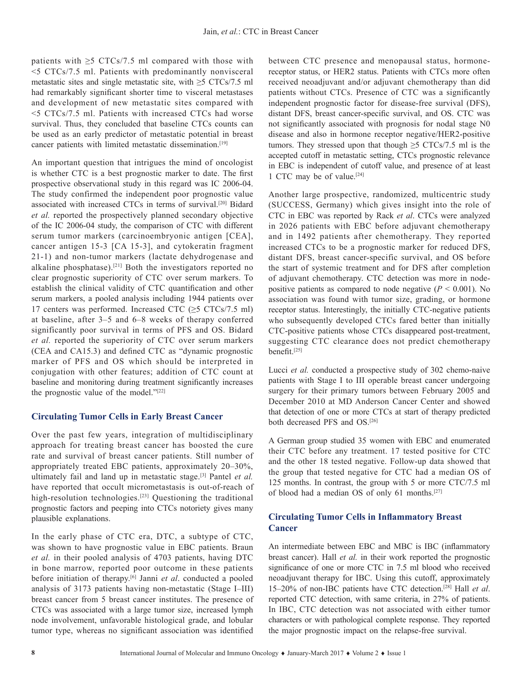patients with  $\geq$ 5 CTCs/7.5 ml compared with those with <5 CTCs/7.5 ml. Patients with predominantly nonvisceral metastatic sites and single metastatic site, with  $\geq$ 5 CTCs/7.5 ml had remarkably significant shorter time to visceral metastases and development of new metastatic sites compared with <5 CTCs/7.5 ml. Patients with increased CTCs had worse survival. Thus, they concluded that baseline CTCs counts can be used as an early predictor of metastatic potential in breast cancer patients with limited metastatic dissemination.<sup>[19]</sup>

An important question that intrigues the mind of oncologist is whether CTC is a best prognostic marker to date. The first prospective observational study in this regard was IC 2006-04. The study confirmed the independent poor prognostic value associated with increased CTCs in terms of survival.[20] Bidard *et al.* reported the prospectively planned secondary objective of the IC 2006-04 study, the comparison of CTC with different serum tumor markers (carcinoembryonic antigen [CEA], cancer antigen 15-3 [CA 15-3], and cytokeratin fragment 21-1) and non-tumor markers (lactate dehydrogenase and alkaline phosphatase).<sup>[21]</sup> Both the investigators reported no clear prognostic superiority of CTC over serum markers. To establish the clinical validity of CTC quantification and other serum markers, a pooled analysis including 1944 patients over 17 centers was performed. Increased CTC ( $\geq$ 5 CTCs/7.5 ml) at baseline, after 3–5 and 6–8 weeks of therapy conferred significantly poor survival in terms of PFS and OS. Bidard *et al.* reported the superiority of CTC over serum markers (CEA and CA15.3) and defined CTC as "dynamic prognostic marker of PFS and OS which should be interpreted in conjugation with other features; addition of CTC count at baseline and monitoring during treatment significantly increases the prognostic value of the model."[22]

## **Circulating Tumor Cells in Early Breast Cancer**

Over the past few years, integration of multidisciplinary approach for treating breast cancer has boosted the cure rate and survival of breast cancer patients. Still number of appropriately treated EBC patients, approximately 20–30%, ultimately fail and land up in metastatic stage.[3] Pantel *et al.* have reported that occult micrometastasis is out-of-reach of high-resolution technologies.<sup>[23]</sup> Questioning the traditional prognostic factors and peeping into CTCs notoriety gives many plausible explanations.

In the early phase of CTC era, DTC, a subtype of CTC, was shown to have prognostic value in EBC patients. Braun *et al.* in their pooled analysis of 4703 patients, having DTC in bone marrow, reported poor outcome in these patients before initiation of therapy.[6] Janni *et al*. conducted a pooled analysis of 3173 patients having non-metastatic (Stage I–III) breast cancer from 5 breast cancer institutes. The presence of CTCs was associated with a large tumor size, increased lymph node involvement, unfavorable histological grade, and lobular tumor type, whereas no significant association was identified

between CTC presence and menopausal status, hormonereceptor status, or HER2 status. Patients with CTCs more often received neoadjuvant and/or adjuvant chemotherapy than did patients without CTCs. Presence of CTC was a significantly independent prognostic factor for disease-free survival (DFS), distant DFS, breast cancer-specific survival, and OS. CTC was not significantly associated with prognosis for nodal stage N0 disease and also in hormone receptor negative/HER2-positive tumors. They stressed upon that though  $\geq$ 5 CTCs/7.5 ml is the accepted cutoff in metastatic setting, CTCs prognostic relevance in EBC is independent of cutoff value, and presence of at least 1 CTC may be of value.[24]

Another large prospective, randomized, multicentric study (SUCCESS, Germany) which gives insight into the role of CTC in EBC was reported by Rack *et al*. CTCs were analyzed in 2026 patients with EBC before adjuvant chemotherapy and in 1492 patients after chemotherapy. They reported increased CTCs to be a prognostic marker for reduced DFS, distant DFS, breast cancer-specific survival, and OS before the start of systemic treatment and for DFS after completion of adjuvant chemotherapy. CTC detection was more in nodepositive patients as compared to node negative  $(P < 0.001)$ . No association was found with tumor size, grading, or hormone receptor status. Interestingly, the initially CTC-negative patients who subsequently developed CTCs fared better than initially CTC-positive patients whose CTCs disappeared post-treatment, suggesting CTC clearance does not predict chemotherapy benefit.[25]

Lucci *et al.* conducted a prospective study of 302 chemo-naive patients with Stage I to III operable breast cancer undergoing surgery for their primary tumors between February 2005 and December 2010 at MD Anderson Cancer Center and showed that detection of one or more CTCs at start of therapy predicted both decreased PFS and OS.[26]

A German group studied 35 women with EBC and enumerated their CTC before any treatment. 17 tested positive for CTC and the other 18 tested negative. Follow-up data showed that the group that tested negative for CTC had a median OS of 125 months. In contrast, the group with 5 or more CTC/7.5 ml of blood had a median OS of only 61 months.[27]

## **Circulating Tumor Cells in Inflammatory Breast Cancer**

An intermediate between EBC and MBC is IBC (inflammatory breast cancer). Hall *et al.* in their work reported the prognostic significance of one or more CTC in 7.5 ml blood who received neoadjuvant therapy for IBC. Using this cutoff, approximately 15–20% of non-IBC patients have CTC detection.[28] Hall *et al*. reported CTC detection, with same criteria, in 27% of patients. In IBC, CTC detection was not associated with either tumor characters or with pathological complete response. They reported the major prognostic impact on the relapse-free survival.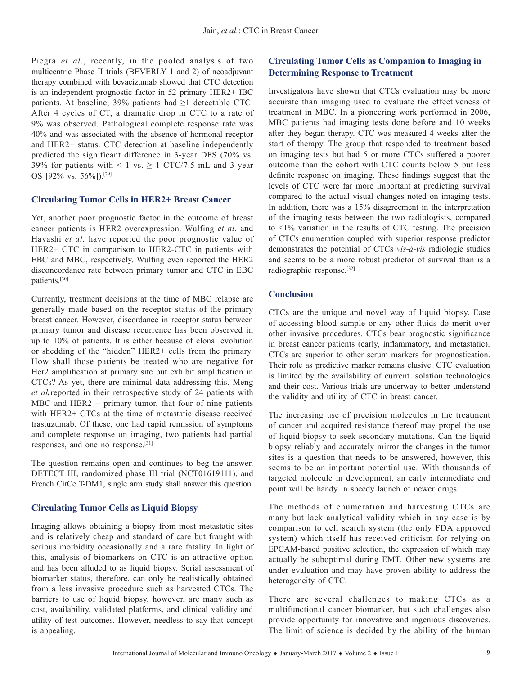Piegra *et al*., recently, in the pooled analysis of two multicentric Phase II trials (BEVERLY 1 and 2) of neoadjuvant therapy combined with bevacizumab showed that CTC detection is an independent prognostic factor in 52 primary HER2+ IBC patients. At baseline, 39% patients had ≥1 detectable CTC. After 4 cycles of CT, a dramatic drop in CTC to a rate of 9% was observed. Pathological complete response rate was 40% and was associated with the absence of hormonal receptor and HER2+ status. CTC detection at baseline independently predicted the significant difference in 3-year DFS (70% vs. 39% for patients with  $\leq 1$  vs.  $\geq 1$  CTC/7.5 mL and 3-year OS [92% vs. 56%]).[29]

### **Circulating Tumor Cells in HER2+ Breast Cancer**

Yet, another poor prognostic factor in the outcome of breast cancer patients is HER2 overexpression. Wulfing *et al.* and Hayashi *et al.* have reported the poor prognostic value of HER2+ CTC in comparison to HER2-CTC in patients with EBC and MBC, respectively. Wulfing even reported the HER2 disconcordance rate between primary tumor and CTC in EBC patients.[30]

Currently, treatment decisions at the time of MBC relapse are generally made based on the receptor status of the primary breast cancer. However, discordance in receptor status between primary tumor and disease recurrence has been observed in up to 10% of patients. It is either because of clonal evolution or shedding of the "hidden" HER2+ cells from the primary. How shall those patients be treated who are negative for Her2 amplification at primary site but exhibit amplification in CTCs? As yet, there are minimal data addressing this. Meng *et al.*reported in their retrospective study of 24 patients with MBC and HER2 − primary tumor, that four of nine patients with HER2+ CTCs at the time of metastatic disease received trastuzumab. Of these, one had rapid remission of symptoms and complete response on imaging, two patients had partial responses, and one no response.[31]

The question remains open and continues to beg the answer. DETECT III, randomized phase III trial (NCT01619111), and French CirCe T-DM1, single arm study shall answer this question.

### **Circulating Tumor Cells as Liquid Biopsy**

Imaging allows obtaining a biopsy from most metastatic sites and is relatively cheap and standard of care but fraught with serious morbidity occasionally and a rare fatality. In light of this, analysis of biomarkers on CTC is an attractive option and has been alluded to as liquid biopsy. Serial assessment of biomarker status, therefore, can only be realistically obtained from a less invasive procedure such as harvested CTCs. The barriers to use of liquid biopsy, however, are many such as cost, availability, validated platforms, and clinical validity and utility of test outcomes. However, needless to say that concept is appealing.

## **Circulating Tumor Cells as Companion to Imaging in Determining Response to Treatment**

Investigators have shown that CTCs evaluation may be more accurate than imaging used to evaluate the effectiveness of treatment in MBC. In a pioneering work performed in 2006, MBC patients had imaging tests done before and 10 weeks after they began therapy. CTC was measured 4 weeks after the start of therapy. The group that responded to treatment based on imaging tests but had 5 or more CTCs suffered a poorer outcome than the cohort with CTC counts below 5 but less definite response on imaging. These findings suggest that the levels of CTC were far more important at predicting survival compared to the actual visual changes noted on imaging tests. In addition, there was a 15% disagreement in the interpretation of the imaging tests between the two radiologists, compared to <1% variation in the results of CTC testing. The precision of CTCs enumeration coupled with superior response predictor demonstrates the potential of CTCs *vis-à-vis* radiologic studies and seems to be a more robust predictor of survival than is a radiographic response.[32]

#### **Conclusion**

CTCs are the unique and novel way of liquid biopsy. Ease of accessing blood sample or any other fluids do merit over other invasive procedures. CTCs bear prognostic significance in breast cancer patients (early, inflammatory, and metastatic). CTCs are superior to other serum markers for prognostication. Their role as predictive marker remains elusive. CTC evaluation is limited by the availability of current isolation technologies and their cost. Various trials are underway to better understand the validity and utility of CTC in breast cancer.

The increasing use of precision molecules in the treatment of cancer and acquired resistance thereof may propel the use of liquid biopsy to seek secondary mutations. Can the liquid biopsy reliably and accurately mirror the changes in the tumor sites is a question that needs to be answered, however, this seems to be an important potential use. With thousands of targeted molecule in development, an early intermediate end point will be handy in speedy launch of newer drugs.

The methods of enumeration and harvesting CTCs are many but lack analytical validity which in any case is by comparison to cell search system (the only FDA approved system) which itself has received criticism for relying on EPCAM-based positive selection, the expression of which may actually be suboptimal during EMT. Other new systems are under evaluation and may have proven ability to address the heterogeneity of CTC.

There are several challenges to making CTCs as a multifunctional cancer biomarker, but such challenges also provide opportunity for innovative and ingenious discoveries. The limit of science is decided by the ability of the human